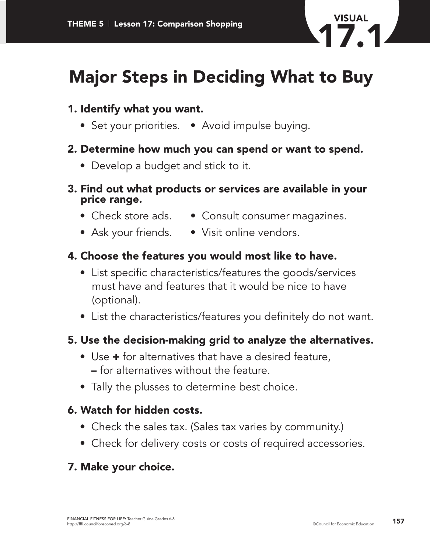

# **Major Steps in Deciding What to Buy**

# **1. Identify what you want.**

• Set your priorities. • Avoid impulse buying.

#### **2. Determine how much you can spend or want to spend.**

• Develop a budget and stick to it.

#### **3. Find out what products or services are available in your price range.**

- 
- Check store ads. Consult consumer magazines.
- Ask your friends. Visit online vendors.

## **4. Choose the features you would most like to have.**

- List specific characteristics/features the goods/services must have and features that it would be nice to have (optional).
- List the characteristics/features you definitely do not want.

## **5. Use the decision-making grid to analyze the alternatives.**

- Use **+** for alternatives that have a desired feature, **–** for alternatives without the feature.
- Tally the plusses to determine best choice.

#### **6. Watch for hidden costs.**

- Check the sales tax. (Sales tax varies by community.)
- Check for delivery costs or costs of required accessories.

#### **7. Make your choice.**